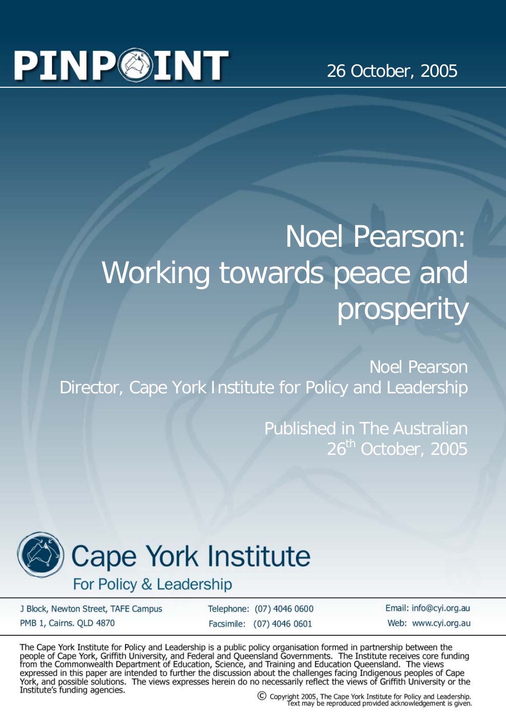# **PINP@INT**

#### 26 October, 2005

## Noel Pearson: Working towards peace and prosperity

Noel Pearson Director, Cape York Institute for Policy and Leadership

> Published in The Australian 26<sup>th</sup> October, 2005



## **Cape York Institute**

For Policy & Leadership

J Block, Newton Street, TAFE Campus PMB 1, Cairns. OLD 4870

Telephone: (07) 4046 0600 Facsimile: (07) 4046 0601

Email: info@cyi.org.au Web: www.cvi.org.au

The Cape York Institute for Policy and Leadership is a public policy organisation formed in partnership between the people of Cape York, Griffith University, and Federal and Queensland Governments. The Institute receives c expressed in this paper are intended to further the discussion about the challenges facing Indigenous peoples of Cape<br>York, and possible solutions. The views expresses herein do no necessarily reflect the views of Griffith Institute's funding agencies.

C Copyright 2005, The Cape York Institute for Policy and Leadership.<br>Text may be reproduced provided acknowledgement is given.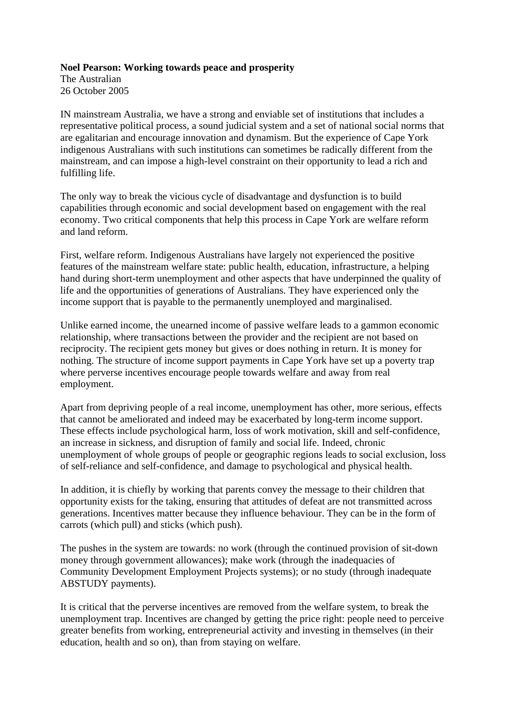#### **Noel Pearson: Working towards peace and prosperity**

The Australian 26 October 2005

IN mainstream Australia, we have a strong and enviable set of institutions that includes a representative political process, a sound judicial system and a set of national social norms that are egalitarian and encourage innovation and dynamism. But the experience of Cape York indigenous Australians with such institutions can sometimes be radically different from the mainstream, and can impose a high-level constraint on their opportunity to lead a rich and fulfilling life.

The only way to break the vicious cycle of disadvantage and dysfunction is to build capabilities through economic and social development based on engagement with the real economy. Two critical components that help this process in Cape York are welfare reform and land reform.

First, welfare reform. Indigenous Australians have largely not experienced the positive features of the mainstream welfare state: public health, education, infrastructure, a helping hand during short-term unemployment and other aspects that have underpinned the quality of life and the opportunities of generations of Australians. They have experienced only the income support that is payable to the permanently unemployed and marginalised.

Unlike earned income, the unearned income of passive welfare leads to a gammon economic relationship, where transactions between the provider and the recipient are not based on reciprocity. The recipient gets money but gives or does nothing in return. It is money for nothing. The structure of income support payments in Cape York have set up a poverty trap where perverse incentives encourage people towards welfare and away from real employment.

Apart from depriving people of a real income, unemployment has other, more serious, effects that cannot be ameliorated and indeed may be exacerbated by long-term income support. These effects include psychological harm, loss of work motivation, skill and self-confidence, an increase in sickness, and disruption of family and social life. Indeed, chronic unemployment of whole groups of people or geographic regions leads to social exclusion, loss of self-reliance and self-confidence, and damage to psychological and physical health.

In addition, it is chiefly by working that parents convey the message to their children that opportunity exists for the taking, ensuring that attitudes of defeat are not transmitted across generations. Incentives matter because they influence behaviour. They can be in the form of carrots (which pull) and sticks (which push).

The pushes in the system are towards: no work (through the continued provision of sit-down money through government allowances); make work (through the inadequacies of Community Development Employment Projects systems); or no study (through inadequate ABSTUDY payments).

It is critical that the perverse incentives are removed from the welfare system, to break the unemployment trap. Incentives are changed by getting the price right: people need to perceive greater benefits from working, entrepreneurial activity and investing in themselves (in their education, health and so on), than from staying on welfare.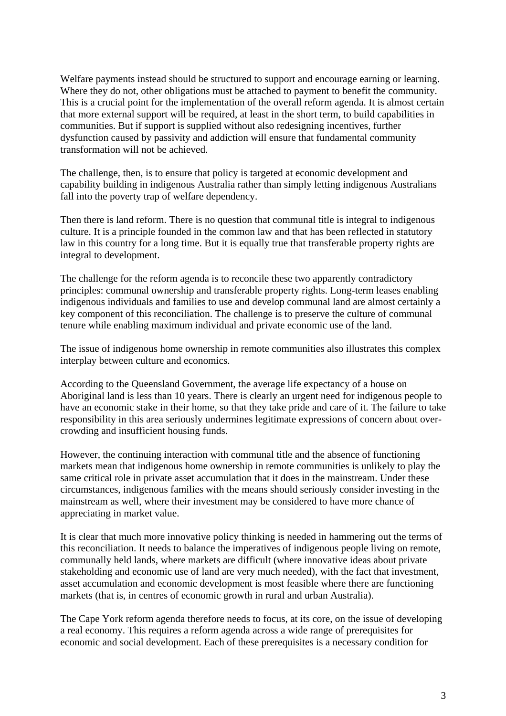Welfare payments instead should be structured to support and encourage earning or learning. Where they do not, other obligations must be attached to payment to benefit the community. This is a crucial point for the implementation of the overall reform agenda. It is almost certain that more external support will be required, at least in the short term, to build capabilities in communities. But if support is supplied without also redesigning incentives, further dysfunction caused by passivity and addiction will ensure that fundamental community transformation will not be achieved.

The challenge, then, is to ensure that policy is targeted at economic development and capability building in indigenous Australia rather than simply letting indigenous Australians fall into the poverty trap of welfare dependency.

Then there is land reform. There is no question that communal title is integral to indigenous culture. It is a principle founded in the common law and that has been reflected in statutory law in this country for a long time. But it is equally true that transferable property rights are integral to development.

The challenge for the reform agenda is to reconcile these two apparently contradictory principles: communal ownership and transferable property rights. Long-term leases enabling indigenous individuals and families to use and develop communal land are almost certainly a key component of this reconciliation. The challenge is to preserve the culture of communal tenure while enabling maximum individual and private economic use of the land.

The issue of indigenous home ownership in remote communities also illustrates this complex interplay between culture and economics.

According to the Queensland Government, the average life expectancy of a house on Aboriginal land is less than 10 years. There is clearly an urgent need for indigenous people to have an economic stake in their home, so that they take pride and care of it. The failure to take responsibility in this area seriously undermines legitimate expressions of concern about overcrowding and insufficient housing funds.

However, the continuing interaction with communal title and the absence of functioning markets mean that indigenous home ownership in remote communities is unlikely to play the same critical role in private asset accumulation that it does in the mainstream. Under these circumstances, indigenous families with the means should seriously consider investing in the mainstream as well, where their investment may be considered to have more chance of appreciating in market value.

It is clear that much more innovative policy thinking is needed in hammering out the terms of this reconciliation. It needs to balance the imperatives of indigenous people living on remote, communally held lands, where markets are difficult (where innovative ideas about private stakeholding and economic use of land are very much needed), with the fact that investment, asset accumulation and economic development is most feasible where there are functioning markets (that is, in centres of economic growth in rural and urban Australia).

The Cape York reform agenda therefore needs to focus, at its core, on the issue of developing a real economy. This requires a reform agenda across a wide range of prerequisites for economic and social development. Each of these prerequisites is a necessary condition for